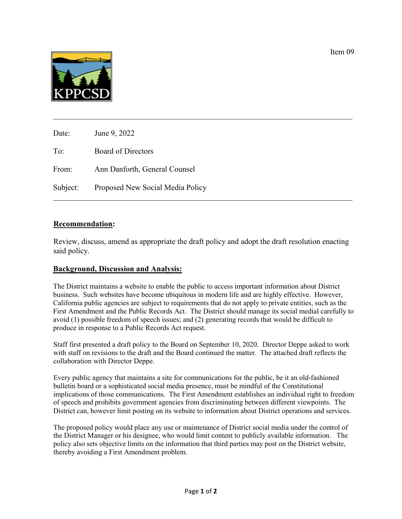

| Date:    | June 9, 2022                     |
|----------|----------------------------------|
| To:      | <b>Board of Directors</b>        |
| From:    | Ann Danforth, General Counsel    |
| Subject: | Proposed New Social Media Policy |

### **Recommendation:**

Review, discuss, amend as appropriate the draft policy and adopt the draft resolution enacting said policy.

\_\_\_\_\_\_\_\_\_\_\_\_\_\_\_\_\_\_\_\_\_\_\_\_\_\_\_\_\_\_\_\_\_\_\_\_\_\_\_\_\_\_\_\_\_\_\_\_\_\_\_\_\_\_\_\_\_\_\_\_\_\_\_\_\_\_\_\_\_\_\_\_\_\_\_\_

### **Background, Discussion and Analysis:**

The District maintains a website to enable the public to access important information about District business. Such websites have become ubiquitous in modern life and are highly effective. However, California public agencies are subject to requirements that do not apply to private entities, such as the First Amendment and the Public Records Act. The District should manage its social medial carefully to avoid (1) possible freedom of speech issues; and (2) generating records that would be difficult to produce in response to a Public Records Act request.

Staff first presented a draft policy to the Board on September 10, 2020. Director Deppe asked to work with staff on revisions to the draft and the Board continued the matter. The attached draft reflects the collaboration with Director Deppe.

Every public agency that maintains a site for communications for the public, be it an old-fashioned bulletin board or a sophisticated social media presence, must be mindful of the Constitutional implications of those communications. The First Amendment establishes an individual right to freedom of speech and prohibits government agencies from discriminating between different viewpoints. The District can, however limit posting on its website to information about District operations and services.

The proposed policy would place any use or maintenance of District social media under the control of the District Manager or his designee, who would limit content to publicly available information. The policy also sets objective limits on the information that third parties may post on the District website, thereby avoiding a First Amendment problem.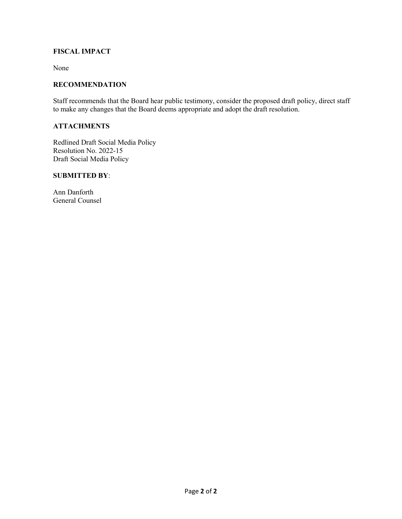### **FISCAL IMPACT**

None

### **RECOMMENDATION**

Staff recommends that the Board hear public testimony, consider the proposed draft policy, direct staff to make any changes that the Board deems appropriate and adopt the draft resolution.

### **ATTACHMENTS**

Redlined Draft Social Media Policy Resolution No. 2022-15 Draft Social Media Policy

### **SUBMITTED BY**:

Ann Danforth General Counsel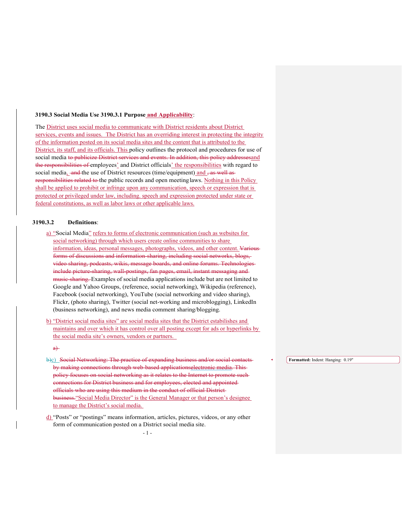#### **3190.3 Social Media Use 3190.3.1 Purpose and Applicability**:

The District uses social media to communicate with District residents about District services, events and issues. The District has an overriding interest in protecting the integrity of the information posted on its social media sites and the content that is attributed to the District, its staff, and its officials. This policy outlines the protocol and procedures for use of social media to publicize District services and events. In addition, this policy addresses and the responsibilities of employees' and District officials' the responsibilities with regard to social media,  $-and$  the use of District resources (time/equipment) and  $\frac{1}{2}$  as well as responsibilities related to the public records and open meeting laws. Nothing in this Policy shall be applied to prohibit or infringe upon any communication, speech or expression that is protected or privileged under law, including. speech and expression protected under state or federal constitutions, as well as labor laws or other applicable laws.

### **3190.3.2 Definitions**:

- a) "Social Media" refers to forms of electronic communication (such as websites for social networking) through which users create online communities to share information, ideas, personal messages, photographs, videos, and other content. Various forms of discussions and information-sharing, including social networks, blogs, video sharing, podcasts, wikis, message boards, and online forums. Technologies include picture-sharing, wall-postings, fan pages, email, instant messaging and music-sharing. Examples of social media applications include but are not limited to Google and Yahoo Groups, (reference, social networking), Wikipedia (reference), Facebook (social networking), YouTube (social networking and video sharing), Flickr, (photo sharing), Twitter (social net-working and microblogging), LinkedIn (business networking), and news media comment sharing/blogging.
- b) "District social media sites" are social media sites that the District estabilishes and maintains and over which it has control over all posting except for ads or hyperlinks by the social media site's owners, vendors or partners.

 $a)$ 

- b)c) Social Networking: The practice of expanding business and/or social contacts by making connections through web-based applicationselectronic media. This policy focuses on social networking as it relates to the Internet to promote such connections for District business and for employees, elected and appointed officials who are using this medium in the conduct of official District business."Social Media Director" is the General Manager or that person's designee to manage the District's social media.
- d) "Posts" or "postings" means information, articles, pictures, videos, or any other form of communication posted on a District social media site.

**Formatted:** Indent: Hanging: 0.19"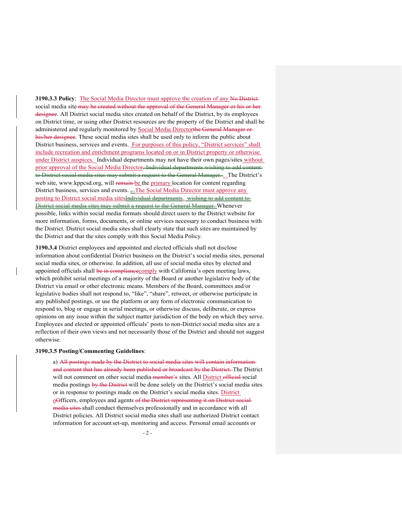**3190.3.3 Policy:** The Social Media Director must approve the creation of any No Districtsocial media site may be created without the approval of the General Manager or his or herdesignee. All District social media sites created on behalf of the District, by its employees on District time, or using other District resources are the property of the District and shall be administered and regularly monitored by Social Media Directorthe General Manager or his/her designee. These social media sites shall be used only to inform the public about District business, services and events. For purposes of this policy, "District services" shall include recreation and enrichment programs located on or in District property or otherwise under District auspices. Individual departments may not have their own pages/sites without prior approval of the Social Media Director. Individual departments wishing to add content to District social media sites may submit a request to the General Manager. . The District's web site, [www.kppcsd.org,](http://www.kppcsd.org/) will remain be the primary location for content regarding District business, services and events.  $\equiv$ The Social Media Director must approve any posting to District social media sitesIndividual departments. wishing to add content to District social media sites may submit a request to the General Manager. Whenever possible, links within social media formats should direct users to the District website for more information, forms, documents, or online services necessary to conduct business with the District. District social media sites shall clearly state that such sites are maintained by the District and that the sites comply with this Social Media Policy.

**3190.3.4** District employees and appointed and elected officials shall not disclose information about confidential District business on the District's social media sites, personal social media sites, or otherwise. In addition, all use of social media sites by elected and appointed officials shall be in compliance comply with California's open meeting laws, which prohibit serial meetings of a majority of the Board or another legislative body of the District via email or other electronic means. Members of the Board, committees and/or legislative bodies shall not respond to, "like", "share", retweet, or otherwise participate in any published postings, or use the platform or any form of electronic communication to respond to, blog or engage in serial meetings, or otherwise discuss, deliberate, or express opinions on any issue within the subject matter jurisdiction of the body on which they serve. Employees and elected or appointed officials' posts to non-District social media sites are a reflection of their own views and not necessarily those of the District and should not suggest otherwise.

#### **3190.3.5 Posting/Commenting Guidelines**:

a) All postings made by the District to social media sites will contain information and content that has already been published or broadcast by the District. The District will not comment on other social media member's sites. All District official social media postings by the District-will be done solely on the District's social media sites or in response to postings made on the District's social media sites. District oOfficers, employees and agents of the District representing it on District social media sites shall conduct themselves professionally and in accordance with all District policies. All District social media sites shall use authorized District contact information for accountset-up, monitoring and access. Personal email accounts or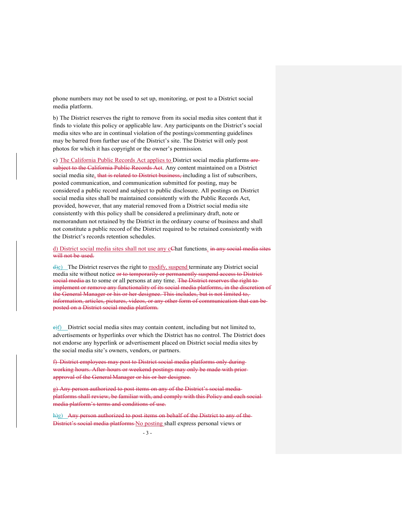phone numbers may not be used to set up, monitoring, or post to a District social media platform.

b) The District reserves the right to remove from its social media sites content that it finds to violate this policy or applicable law. Any participants on the District's social media sites who are in continual violation of the postings/commenting guidelines may be barred from further use of the District's site. The District will only post photos for which it has copyright or the owner's permission.

c) The California Public Records Act applies to District social media platforms aresubject to the California Public Records Act. Any content maintained on a District social media site, that is related to District business, including a list of subscribers, posted communication, and communication submitted for posting, may be considered a public record and subject to public disclosure. All postings on District social media sites shall be maintained consistently with the Public Records Act, provided, however, that any material removed from a District social media site consistently with this policy shall be considered a preliminary draft, note or memorandum not retained by the District in the ordinary course of business and shall not constitute a public record of the District required to be retained consistently with the District's records retention schedules.

d) District social media sites shall not use any cChat functions. in any social media sites will not be used.

d)e) The District reserves the right to modify, suspend terminate any District social media site without notice or to temporarily or permanently suspend access to District social media as to some or all persons at any time. The District reserves the right toimplement or remove any functionality of its social media platforms, in the discretion of the General Manager or his or her designee. This includes, but is not limited to, information, articles, pictures, videos, or any other form of communication that can be posted on a District social media platform.

 $e(f)$  District social media sites may contain content, including but not limited to, advertisements or hyperlinks over which the District has no control. The District does not endorse any hyperlink or advertisement placed on District social media sites by the social media site's owners, vendors, or partners.

f) District employees may post to District social media platforms only during working hours. After-hours or weekend postings may only be made with prior approval of the General Manager or his or her designee.

g) Any person authorized to post items on any of the District's social media platforms shall review, be familiar with, and comply with this Policy and each social media platform's terms and conditions of use.

h)g) Any person authorized to post items on behalf of the District to any of the District's social media platforms No posting shall express personal views or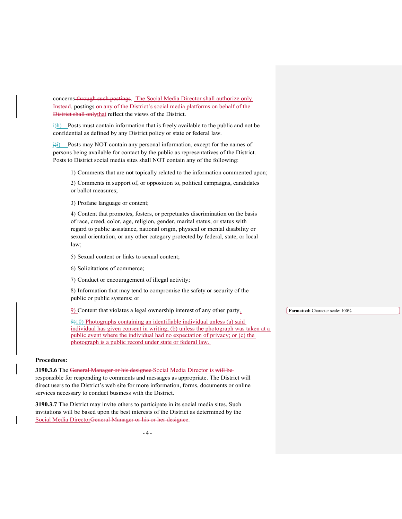concerns through such postings. The Social Media Director shall authorize only Instead, postings on any of the District's social media platforms on behalf of the District shall onlythat reflect the views of the District.

 $\frac{1}{h}$ ) Posts must contain information that is freely available to the public and not be confidential as defined by any District policy or state or federal law.

 $\frac{1}{10}$  Posts may NOT contain any personal information, except for the names of persons being available for contact by the public as representatives of the District. Posts to District social media sites shall NOT contain any of the following:

1) Comments that are not topically related to the information commented upon;

2) Comments in support of, or opposition to, political campaigns, candidates or ballot measures;

3) Profane language or content;

4) Content that promotes, fosters, or perpetuates discrimination on the basis of race, creed, color, age, religion, gender, marital status, or status with regard to public assistance, national origin, physical or mental disability or sexual orientation, or any other category protected by federal, state, or local law;

5) Sexual content or links to sexual content;

6) Solicitations of commerce;

7) Conduct or encouragement of illegal activity;

8) Information that may tend to compromise the safety or security of the public or public systems; or

9) Content that violates a legal ownership interest of any other party.

9)10) Photographs containing an identifiable individual unless (a) said individual has given consent in writing; (b) unless the photograph was taken at a public event where the individual had no expectation of privacy; or (c) the photograph is a public record under state or federal law.

### **Procedures:**

**3190.3.6** The General Manager or his designee Social Media Director is will be

responsible for responding to comments and messages as appropriate. The District will direct users to the District's web site for more information, forms, documents or online services necessary to conduct business with the District.

**3190.3.7** The District may invite others to participate in its social media sites. Such invitations will be based upon the best interests of the District as determined by the Social Media DirectorGeneral Manager or his or her designee.

**Formatted:** Character scale: 100%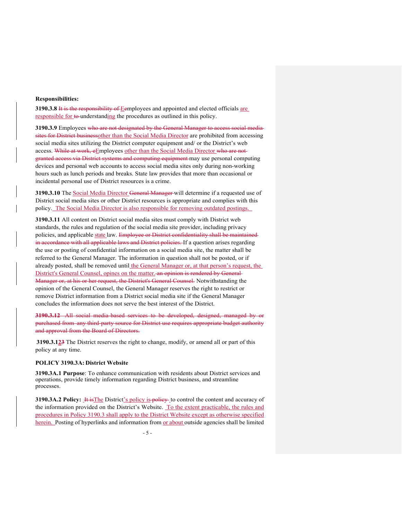#### **Responsibilities:**

**3190.3.8** It is the responsibility of Eemployees and appointed and elected officials are responsible for to understanding the procedures as outlined in this policy.

**3190.3.9** Employees who are not designated by the General Manager to access social media sites for District businessother than the Social Media Director are prohibited from accessing social media sites utilizing the District computer equipment and/ or the District's web access. While at work, eEmployees other than the Social Media Director who are notgranted access via District systems and computing equipment may use personal computing devices and personal web accounts to access social media sites only during non-working hours such as lunch periods and breaks. State law provides that more than occasional or incidental personal use of District resources is a crime.

**3190.3.10** The Social Media Director General Manager will determine if a requested use of District social media sites or other District resources is appropriate and complies with this policy. The Social Media Director is also responsible for removing outdated postings.

**3190.3.11** All content on District social media sites must comply with District web standards, the rules and regulation of the social media site provider, including privacy policies, and applicable state law. Employee or District confidentiality shall be maintainedin accordance with all applicable laws and District policies. If a question arises regarding the use or posting of confidential information on a social media site, the matter shall be referred to the General Manager. The information in question shall not be posted, or if already posted, shall be removed until the General Manager or, at that person's request, the District's General Counsel, opines on the matter. an opinion is rendered by General Manager or, at his or her request, the District's General Counsel. Notwithstanding the opinion of the General Counsel, the General Manager reserves the right to restrict or remove District information from a District social media site if the General Manager concludes the information does not serve the best interest of the District.

**3190.3.12** All social media-based services to be developed, designed, managed by or purchased from any third-party source for District use requires appropriate budget authority and approval from the Board of Directors.

**3190.3.123** The District reserves the right to change, modify, or amend all or part of this policy at any time.

#### **POLICY 3190.3A: District Website**

**3190.3A.1 Purpose**: To enhance communication with residents about District services and operations, provide timely information regarding District business, and streamline processes.

**3190.3A.2 Policy: It is The District's policy is policy** to control the content and accuracy of the information provided on the District's Website. To the extent practicable, the rules and procedures in Policy 3190.3 shall apply to the District Website except as otherwise specified herein. Posting of hyperlinks and information from or about outside agencies shall be limited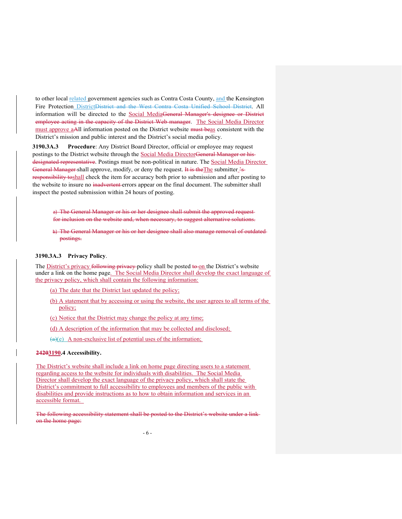to other local related government agencies such as Contra Costa County, and the Kensington Fire Protection District<del>District and the West Contra Costa Unified School District</del>. All information will be directed to the Social MediaGeneral Manager's designee or District employee acting in the capacity of the District Web manager. The Social Media Director must approve aAll information posted on the District website must beas consistent with the District's mission and public interest and the District's social media policy.

**3190.3A.3 Procedure**: Any District Board Director, official or employee may request postings to the District website through the Social Media DirectorGeneral Manager or hisdesignated representative. Postings must be non-political in nature. The Social Media Director General Manager shall approve, modify, or deny the request. It is the The submitter  $\frac{2}{5}$ responsibility toshall check the item for accuracy both prior to submission and after posting to the website to insure no inadvertent errors appear on the final document. The submitter shall inspect the posted submission within 24 hours of posting.

a) The General Manager or his or her designee shall submit the approved requestfor inclusion on the website and, when necessary, to suggest alternative solutions.

b) The General Manager or his or her designee shall also manage removal of outdated postings.

### **3190.3A.3 Privacy Policy**.

The District's privacy following privacy-policy shall be posted to on the District's website under a link on the home page. The Social Media Director shall develop the exact language of the privacy policy, which shall contain the following information:

(a) The date that the District last updated the policy;

- (b) A statement that by accessing or using the website, the user agrees to all terms of the policy;
- (c) Notice that the District may change the policy at any time;
- (d) A description of the information that may be collected and disclosed;
- $(a)(e)$  A non-exclusive list of potential uses of the information;

### **24203190.4 Accessibility.**

The District's website shall include a link on home page directing users to a statement regarding access to the website for individuals with disabilities. The Social Media Director shall develop the exact language of the privacy policy, which shall state the District's commitment to full accessibility to employees and members of the public with disabilities and provide instructions as to how to obtain information and services in an accessible format.

The following accessibility statement shall be posted to the District's website under a link on the home page: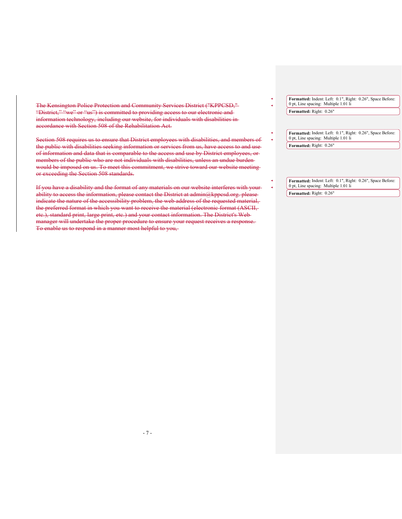The Kensington Police Protection and Community Services District ("KPPCSD," "District," "we" or "us") is committed to providing access to our electronic andinformation technology, including our website, for individuals with disabilities in accordance with Section 508 of the Rehabilitation Act.

Section 508 requires us to ensure that District employees with disabilities, and members of the public with disabilities seeking information or services from us, have access to and use of information and data that is comparable to the access and use by District employees, or members of the public who are not individuals with disabilities, unless an undue burden would be imposed on us. To meet this commitment, we strive toward our website meeting or exceeding the Section 508 standards.

If you have a disability and the format of any materials on our website interferes with your ability to access the information, please contact the District at admin@kppcsd.org. please indicate the nature of the accessibility problem, the web address of the requested material, the preferred format in which you want to receive the material (electronic format (ASCII, etc.), standard print, large print, etc.) and your contact information. The District's Web manager will undertake the proper procedure to ensure your request receives a response. To enable us to respond in a manner most helpful to you,

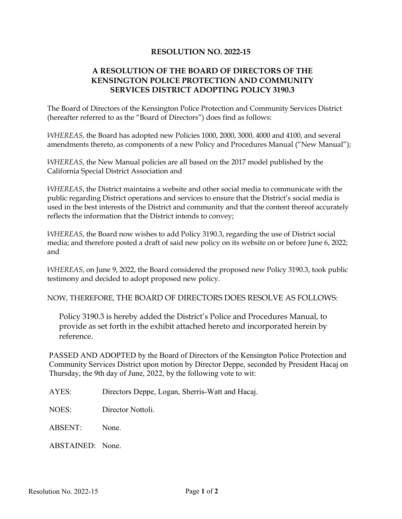## **RESOLUTION NO. 2022-15**

# **A RESOLUTION OF THE BOARD OF DIRECTORS OF THE KENSINGTON POLICE PROTECTION AND COMMUNITY SERVICES DISTRICT ADOPTING POLICY 3190.3**

The Board of Directors of the Kensington Police Protection and Community Services District (hereafter referred to as the "Board of Directors") does find as follows:

*WHEREAS,* the Board has adopted new Policies 1000, 2000, 3000, 4000 and 4100, and several amendments thereto, as components of a new Policy and Procedures Manual ("New Manual");

*WHEREAS*, the New Manual policies are all based on the 2017 model published by the California Special District Association and

*WHEREAS*, the District maintains a website and other social media to communicate with the public regarding District operations and services to ensure that the District's social media is used in the best interests of the District and community and that the content thereof accurately reflects the information that the District intends to convey;

*WHEREAS*, the Board now wishes to add Policy 3190.3, regarding the use of District social media; and therefore posted a draft of said new policy on its website on or before June 6, 2022; and

*WHEREAS*, on June 9, 2022, the Board considered the proposed new Policy 3190.3, took public testimony and decided to adopt proposed new policy.

NOW, THEREFORE, THE BOARD OF DIRECTORS DOES RESOLVE AS FOLLOWS:

Policy 3190.3 is hereby added the District's Police and Procedures Manual, to provide as set forth in the exhibit attached hereto and incorporated herein by reference.

PASSED AND ADOPTED by the Board of Directors of the Kensington Police Protection and Community Services District upon motion by Director Deppe, seconded by President Hacaj on Thursday, the 9th day of June, 2022, by the following vote to wit:

AYES: Directors Deppe, Logan, Sherris-Watt and Hacaj.

NOES: Director Nottoli.

ABSENT: None.

ABSTAINED: None.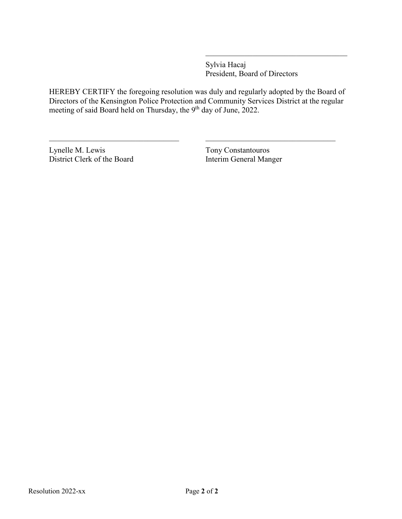Sylvia Hacaj President, Board of Directors

HEREBY CERTIFY the foregoing resolution was duly and regularly adopted by the Board of Directors of the Kensington Police Protection and Community Services District at the regular meeting of said Board held on Thursday, the 9<sup>th</sup> day of June, 2022.

 $\_$  , and the set of the set of the set of the set of the set of the set of the set of the set of the set of the set of the set of the set of the set of the set of the set of the set of the set of the set of the set of th

Lynelle M. Lewis Tony Constantouros<br>
District Clerk of the Board<br>
Interim General Manger District Clerk of the Board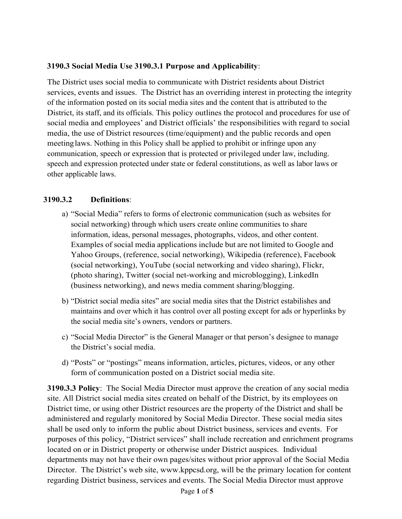## **3190.3 Social Media Use 3190.3.1 Purpose and Applicability**:

The District uses social media to communicate with District residents about District services, events and issues. The District has an overriding interest in protecting the integrity of the information posted on its social media sites and the content that is attributed to the District, its staff, and its officials. This policy outlines the protocol and procedures for use of social media and employees' and District officials' the responsibilities with regard to social media, the use of District resources (time/equipment) and the public records and open meetinglaws. Nothing in this Policy shall be applied to prohibit or infringe upon any communication, speech or expression that is protected or privileged under law, including. speech and expression protected under state or federal constitutions, as well as labor laws or other applicable laws.

# **3190.3.2 Definitions**:

- a) "Social Media" refers to forms of electronic communication (such as websites for social networking) through which users create online communities to share information, ideas, personal messages, photographs, videos, and other content. Examples of social media applications include but are not limited to Google and Yahoo Groups, (reference, social networking), Wikipedia (reference), Facebook (social networking), YouTube (social networking and video sharing), Flickr, (photo sharing), Twitter (social net-working and microblogging), LinkedIn (business networking), and news media comment sharing/blogging.
- b) "District social media sites" are social media sites that the District estabilishes and maintains and over which it has control over all posting except for ads or hyperlinks by the social media site's owners, vendors or partners.
- c) "Social Media Director" is the General Manager or that person's designee to manage the District's social media.
- d) "Posts" or "postings" means information, articles, pictures, videos, or any other form of communication posted on a District social media site.

**3190.3.3 Policy**: The Social Media Director must approve the creation of any social media site. All District social media sites created on behalf of the District, by its employees on District time, or using other District resources are the property of the District and shall be administered and regularly monitored by Social Media Director. These social media sites shall be used only to inform the public about District business, services and events. For purposes of this policy, "District services" shall include recreation and enrichment programs located on or in District property or otherwise under District auspices. Individual departments may not have their own pages/sites without prior approval of the Social Media Director. The District's web site, [www.kppcsd.org,](http://www.kppcsd.org/) will be the primary location for content regarding District business, services and events. The Social Media Director must approve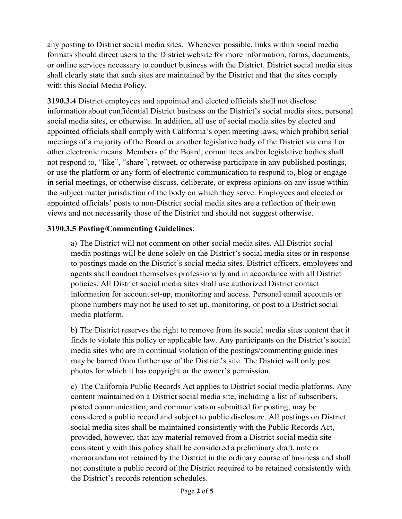any posting to District social media sites. Whenever possible, links within social media formats should direct users to the District website for more information, forms, documents, or online services necessary to conduct business with the District. District social media sites shall clearly state that such sites are maintained by the District and that the sites comply with this Social Media Policy.

**3190.3.4** District employees and appointed and elected officials shall not disclose information about confidential District business on the District's social media sites, personal social media sites, or otherwise. In addition, all use of social media sites by elected and appointed officials shall comply with California's open meeting laws, which prohibit serial meetings of a majority of the Board or another legislative body of the District via email or other electronic means. Members of the Board, committees and/or legislative bodies shall not respond to, "like", "share", retweet, or otherwise participate in any published postings, or use the platform or any form of electronic communication to respond to, blog or engage in serial meetings, or otherwise discuss, deliberate, or express opinions on any issue within the subject matter jurisdiction of the body on which they serve. Employees and elected or appointed officials' posts to non-District social media sites are a reflection of their own views and not necessarily those of the District and should not suggest otherwise.

# **3190.3.5 Posting/Commenting Guidelines**:

a) The District will not comment on other social media sites. All District social media postings will be done solely on the District's social media sites or in response to postings made on the District's social media sites. District officers, employees and agents shall conduct themselves professionally and in accordance with all District policies. All District social media sites shall use authorized District contact information for account set-up, monitoring and access. Personal email accounts or phone numbers may not be used to set up, monitoring, or post to a District social media platform.

b) The District reserves the right to remove from its social media sites content that it finds to violate this policy or applicable law. Any participants on the District's social media sites who are in continual violation of the postings/commenting guidelines may be barred from further use of the District's site. The District will only post photos for which it has copyright or the owner's permission.

c) The California Public Records Act applies to District social media platforms. Any content maintained on a District social media site, including a list of subscribers, posted communication, and communication submitted for posting, may be considered a public record and subject to public disclosure. All postings on District social media sites shall be maintained consistently with the Public Records Act, provided, however, that any material removed from a District social media site consistently with this policy shall be considered a preliminary draft, note or memorandum not retained by the District in the ordinary course of business and shall not constitute a public record of the District required to be retained consistently with the District's records retention schedules.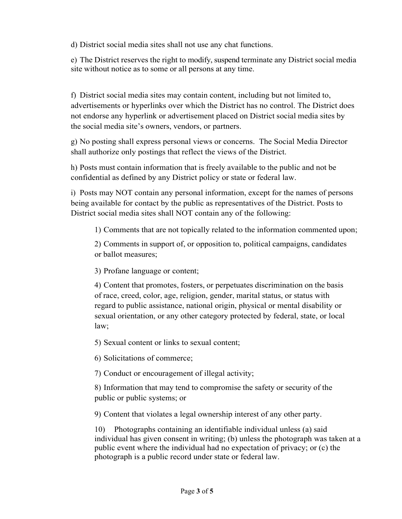d) District social media sites shall not use any chat functions.

e) The District reserves the right to modify, suspend terminate any District social media site without notice as to some or all persons at any time.

f) District social media sites may contain content, including but not limited to, advertisements or hyperlinks over which the District has no control. The District does not endorse any hyperlink or advertisement placed on District social media sites by the social media site's owners, vendors, or partners.

g) No posting shall express personal views or concerns. The Social Media Director shall authorize only postings that reflect the views of the District.

h) Posts must contain information that is freely available to the public and not be confidential as defined by any District policy or state or federal law.

i) Posts may NOT contain any personal information, except for the names of persons being available for contact by the public as representatives of the District. Posts to District social media sites shall NOT contain any of the following:

1) Comments that are not topically related to the information commented upon;

2) Comments in support of, or opposition to, political campaigns, candidates or ballot measures;

3) Profane language or content;

4) Content that promotes, fosters, or perpetuates discrimination on the basis of race, creed, color, age, religion, gender, marital status, or status with regard to public assistance, national origin, physical or mental disability or sexual orientation, or any other category protected by federal, state, or local law;

5) Sexual content or links to sexual content;

6) Solicitations of commerce;

7) Conduct or encouragement of illegal activity;

8) Information that may tend to compromise the safety or security of the public or public systems; or

9) Content that violates a legal ownership interest of any other party.

10) Photographs containing an identifiable individual unless (a) said individual has given consent in writing; (b) unless the photograph was taken at a public event where the individual had no expectation of privacy; or (c) the photograph is a public record under state or federal law.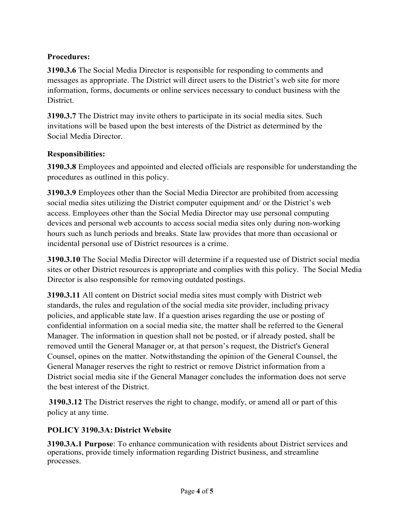# **Procedures:**

**3190.3.6** The Social Media Director is responsible for responding to comments and messages as appropriate. The District will direct users to the District's web site for more information, forms, documents or online services necessary to conduct business with the District.

**3190.3.7** The District may invite others to participate in its social media sites. Such invitations will be based upon the best interests of the District as determined by the Social Media Director.

# **Responsibilities:**

**3190.3.8** Employees and appointed and elected officials are responsible for understanding the procedures as outlined in this policy.

**3190.3.9** Employees other than the Social Media Director are prohibited from accessing social media sites utilizing the District computer equipment and/ or the District's web access. Employees other than the Social Media Director may use personal computing devices and personal web accounts to access social media sites only during non-working hours such as lunch periods and breaks. State law provides that more than occasional or incidental personal use of District resources is a crime.

**3190.3.10** The Social Media Director will determine if a requested use of District social media sites or other District resources is appropriate and complies with this policy. The Social Media Director is also responsible for removing outdated postings.

**3190.3.11** All content on District social media sites must comply with District web standards, the rules and regulation of the social media site provider, including privacy policies, and applicable state law. If a question arises regarding the use or posting of confidential information on a social media site, the matter shall be referred to the General Manager. The information in question shall not be posted, or if already posted, shall be removed until the General Manager or, at that person's request, the District's General Counsel, opines on the matter. Notwithstanding the opinion of the General Counsel, the General Manager reserves the right to restrict or remove District information from a District social media site if the General Manager concludes the information does not serve the best interest of the District.

**3190.3.12** The District reserves the right to change, modify, or amend all or part of this policy at any time.

# **POLICY 3190.3A: District Website**

**3190.3A.1 Purpose**: To enhance communication with residents about District services and operations, provide timely information regarding District business, and streamline processes.